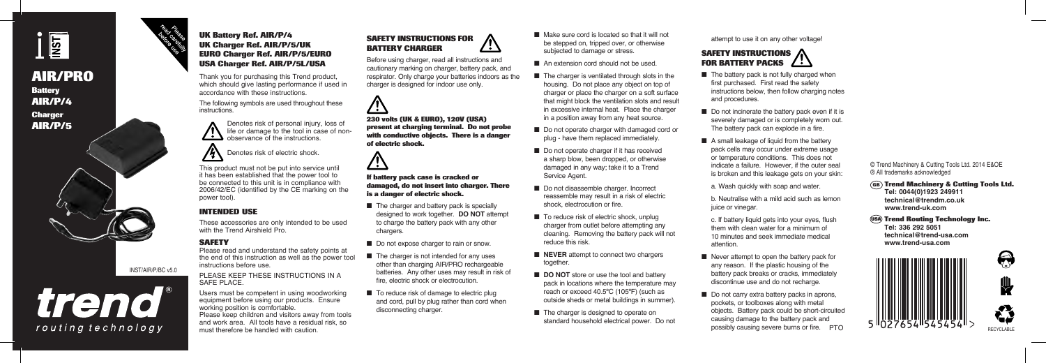

**AIR/PRO Battery AIR/P/4 Charger AIR/P/5**



#### INST/AIR/P/BC v5.0



#### **UK Battery Ref. AIR/P/4 UK Charger Ref. AIR/P/5/UK EURO Charger Ref. AIR/P/5/EURO USA Charger Ref. AIR/P/5L/USA**

Thank you for purchasing this Trend product, which should give lasting performance if used in accordance with these instructions.

The following symbols are used throughout these **instructions** 

> Denotes risk of personal injury, loss of life or damage to the tool in case of nonobservance of the instructions.

# Denotes risk of electric shock.

This product must not be put into service until it has been established that the power tool to be connected to this unit is in compliance with 2006/42/EC (identified by the CE marking on the power tool).

## **INTENDED USE**

These accessories are only intended to be used with the Trend Airshield Pro.

#### **SAFETY**

Please read and understand the safety points at the end of this instruction as well as the power tool instructions before use.

PLEASE KEEP THESE INSTRUCTIONS IN A SAFE PLACE.

Users must be competent in using woodworking equipment before using our products. Ensure working position is comfortable. Please keep children and visitors away from tools and work area. All tools have a residual risk, so must therefore be handled with caution.

#### **SAFETY INSTRUCTIONS FOR BATTERY CHARGER**  ' ÷ 1

Before using charger, read all instructions and cautionary marking on charger, battery pack, and respirator. Only charge your batteries indoors as the charger is designed for indoor use only.



**230 volts (UK & EURO), 120V (USA) present at charging terminal. Do not probe with conductive objects. There is a danger of electric shock.**



**If battery pack case is cracked or damaged, do not insert into charger. There is a danger of electric shock.**

- $\blacksquare$  The charger and battery pack is specially designed to work together. **DO NOT** attempt to charge the battery pack with any other chargers.
- Do not expose charger to rain or snow.
- $\blacksquare$  The charger is not intended for any uses other than charging AIR/PRO rechargeable batteries. Any other uses may result in risk of fire, electric shock or electrocution.
- To reduce risk of damage to electric plug and cord, pull by plug rather than cord when disconnecting charger.
- Make sure cord is located so that it will not be stepped on, tripped over, or otherwise subjected to damage or stress.
- $\blacksquare$  An extension cord should not be used.
- The charger is ventilated through slots in the housing. Do not place any object on top of charger or place the charger on a soft surface that might block the ventilation slots and result in excessive internal heat. Place the charger in a position away from any heat source.
- Do not operate charger with damaged cord or plug - have them replaced immediately.
- $\blacksquare$  Do not operate charger if it has received a sharp blow, been dropped, or otherwise damaged in any way; take it to a Trend Service Agent.
- Do not disassemble charger. Incorrect reassemble may result in a risk of electric shock, electrocution or fire.
- $\blacksquare$  To reduce risk of electric shock, unplug charger from outlet before attempting any cleaning. Removing the battery pack will not reduce this risk.
- **NEVER** attempt to connect two chargers together.
- **DO NOT** store or use the tool and battery pack in locations where the temperature may reach or exceed 40.5ºC (105ºF) (such as outside sheds or metal buildings in summer).
- $\blacksquare$  The charger is designed to operate on standard household electrical power. Do not

attempt to use it on any other voltage!

#### **SAFETY INSTRUCTIONS FOR BATTERY PACKS**

- $\blacksquare$  The battery pack is not fully charged when first purchased. First read the safety instructions below, then follow charging notes and procedures.
- Do not incinerate the battery pack even if it is severely damaged or is completely worn out. The battery pack can explode in a fire.
- $\blacksquare$  A small leakage of liquid from the battery pack cells may occur under extreme usage or temperature conditions. This does not indicate a failure. However, if the outer seal is broken and this leakage gets on your skin:

a. Wash quickly with soap and water.

b. Neutralise with a mild acid such as lemon juice or vinegar.

- c. If battery liquid gets into your eyes, flush them with clean water for a minimum of 10 minutes and seek immediate medical attention.
- Never attempt to open the battery pack for any reason. If the plastic housing of the battery pack breaks or cracks, immediately discontinue use and do not recharge.
- $\blacksquare$  Do not carry extra battery packs in aprons, pockets, or toolboxes along with metal objects. Battery pack could be short-circuited causing damage to the battery pack and possibly causing severe burns or fire. PTO

© Trend Machinery & Cutting Tools Ltd. 2014 E&OE ® All trademarks acknowledged

#### **Trend Machinery & Cutting Tools Ltd. GB**

**Tel: 0044(0)1923 249911 technical@trendm.co.uk www.trend-uk.com**

**Trend Routing Technology Inc. USATel: 336 292 5051**

**technical@trend-usa.com www.trend-usa.com**